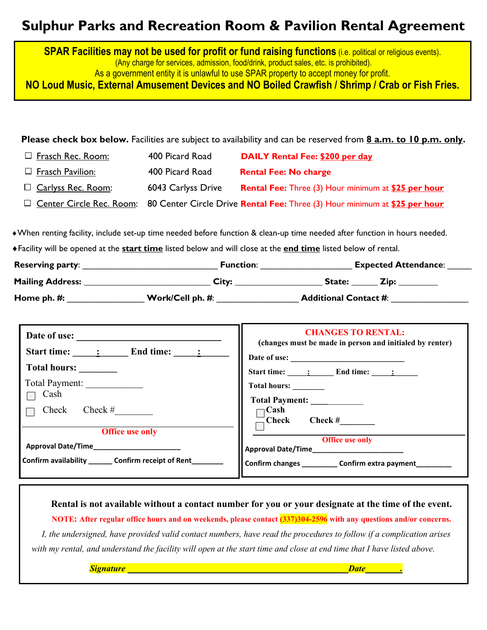# **Sulphur Parks and Recreation Room & Pavilion Rental Agreement**

**SPAR Facilities may not be used for profit or fund raising functions** *(i.e. political or religious events).* (Any charge for services, admission, food/drink, product sales, etc. is prohibited). As a government entity it is unlawful to use SPAR property to accept money for profit. **NO Loud Music, External Amusement Devices and NO Boiled Crawfish / Shrimp / Crab or Fish Fries.**

**Please check box below.** Facilities are subject to availability and can be reserved from **8 a.m. to 10 p.m. only.**

| □ Frasch Rec. Room:         | 400 Picard Road    | DAILY Rental Fee: \$200 per day                                                                            |
|-----------------------------|--------------------|------------------------------------------------------------------------------------------------------------|
| $\Box$ Frasch Pavilion:     | 400 Picard Road    | <b>Rental Fee: No charge</b>                                                                               |
| <b>D</b> Carlyss Rec. Room: | 6043 Carlyss Drive | <b>Rental Fee: Three (3) Hour minimum at \$25 per hour</b>                                                 |
|                             |                    | $\Box$ Center Circle Rec. Room: 80 Center Circle Drive Rental Fee: Three (3) Hour minimum at \$25 per hour |

♦When renting facility, include set-up time needed before function & clean-up time needed after function in hours needed.

♦Facility will be opened at the **start time** listed below and will close at the **end time** listed below of rental.

| <b>Reserving party:</b> | <b>Function:</b> | <b>Expected Attendance:</b>  |
|-------------------------|------------------|------------------------------|
| Mailing Address:        | City:            | State:<br>Zin:               |
| Home ph. #:             | Work/Cell ph. #: | <b>Additional Contact #:</b> |

| Date of use:<br>Start time: : End time: :             | <b>CHANGES TO RENTAL:</b><br>(changes must be made in person and initialed by renter) |
|-------------------------------------------------------|---------------------------------------------------------------------------------------|
| Total hours:                                          | Date of use:<br>Start time: $\qquad \qquad$ : End time: $\qquad \qquad$ :             |
| Total Payment:<br>Cash                                | Total hours: _______                                                                  |
| $Check \#$<br>Check                                   | ⊤Cash<br>$Check \#$<br>Check]                                                         |
| <b>Office use only</b>                                | <b>Office use only</b>                                                                |
|                                                       |                                                                                       |
| Confirm availability ________ Confirm receipt of Rent | Confirm changes __________ Confirm extra payment___                                   |

**Rental is not available without a contact number for you or your designate at the time of the event. NOTE: After regular office hours and on weekends, please contact (337)304-2596 with any questions and/or concerns.**  *I, the undersigned, have provided valid contact numbers, have read the procedures to follow if a complication arises with my rental, and understand the facility will open at the start time and close at end time that I have listed above.* 

*Signature Date . Date . Date . Date . Date . Date . Date . Date . Date . Date . Date . <i>Date . Date . <i>Date* . *Date . Date .* *i Date . <i>Date . . . . . . . . . . . .*